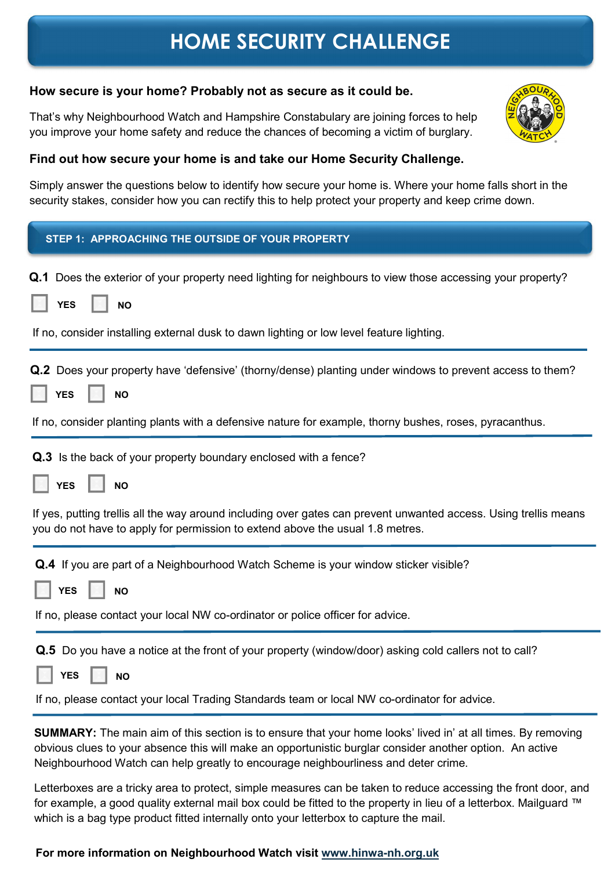### How secure is your home? Probably not as secure as it could be.

That's why Neighbourhood Watch and Hampshire Constabulary are joining forces to help you improve your home safety and reduce the chances of becoming a victim of burglary.

### Find out how secure your home is and take our Home Security Challenge.

Simply answer the questions below to identify how secure your home is. Where your home falls short in the security stakes, consider how you can rectify this to help protect your property and keep crime down.

| STEP 1: APPROACHING THE OUTSIDE OF YOUR PROPERTY                                                                                                                                                                                                                                                                      |
|-----------------------------------------------------------------------------------------------------------------------------------------------------------------------------------------------------------------------------------------------------------------------------------------------------------------------|
| Q.1 Does the exterior of your property need lighting for neighbours to view those accessing your property?<br><b>YES</b><br><b>NO</b>                                                                                                                                                                                 |
| If no, consider installing external dusk to dawn lighting or low level feature lighting.                                                                                                                                                                                                                              |
| <b>Q.2</b> Does your property have 'defensive' (thorny/dense) planting under windows to prevent access to them?<br><b>YES</b><br><b>NO</b>                                                                                                                                                                            |
| If no, consider planting plants with a defensive nature for example, thorny bushes, roses, pyracanthus.                                                                                                                                                                                                               |
| Q.3 Is the back of your property boundary enclosed with a fence?<br><b>YES</b><br><b>NO</b>                                                                                                                                                                                                                           |
| If yes, putting trellis all the way around including over gates can prevent unwanted access. Using trellis means<br>you do not have to apply for permission to extend above the usual 1.8 metres.                                                                                                                     |
| <b>Q.4</b> If you are part of a Neighbourhood Watch Scheme is your window sticker visible?<br><b>YES</b><br><b>NO</b><br>If no, please contact your local NW co-ordinator or police officer for advice.                                                                                                               |
| <b>Q.5</b> Do you have a notice at the front of your property (window/door) asking cold callers not to call?<br><b>YES</b><br><b>NO</b><br>If no, please contact your local Trading Standards team or local NW co-ordinator for advice.                                                                               |
| <b>SUMMARY:</b> The main aim of this section is to ensure that your home looks' lived in' at all times. By removing<br>obvious clues to your absence this will make an opportunistic burglar consider another option. An active<br>Neighbourhood Watch can help greatly to encourage neighbourliness and deter crime. |

Letterboxes are a tricky area to protect, simple measures can be taken to reduce accessing the front door, and for example, a good quality external mail box could be fitted to the property in lieu of a letterbox. Mailguard ™ which is a bag type product fitted internally onto your letterbox to capture the mail.

### For more information on Neighbourhood Watch visit www.hinwa-nh.org.uk

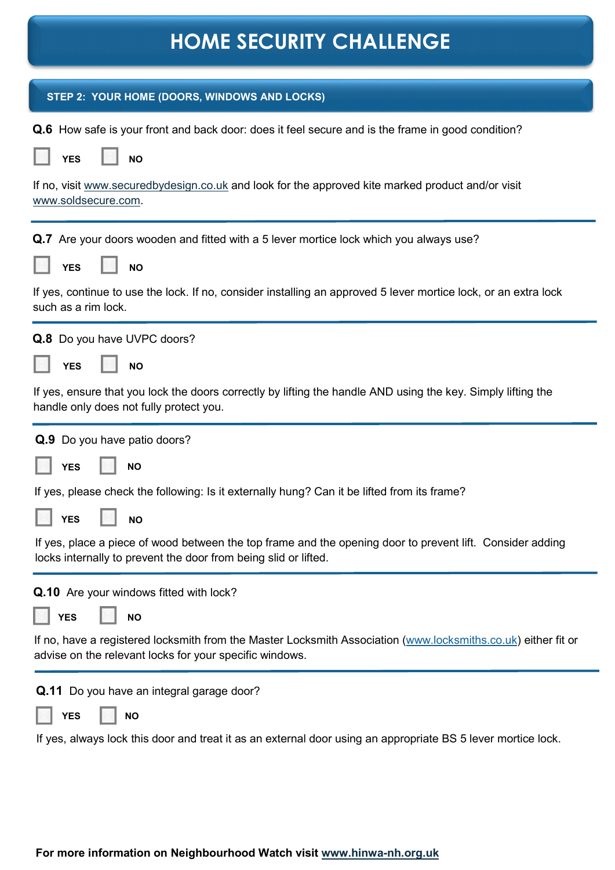| STEP 2: YOUR HOME (DOORS, WINDOWS AND LOCKS)                                                                                                                                 |
|------------------------------------------------------------------------------------------------------------------------------------------------------------------------------|
| <b>Q.6</b> How safe is your front and back door: does it feel secure and is the frame in good condition?                                                                     |
| <b>YES</b><br><b>NO</b>                                                                                                                                                      |
| If no, visit www.securedbydesign.co.uk and look for the approved kite marked product and/or visit<br>www.soldsecure.com.                                                     |
| <b>Q.7</b> Are your doors wooden and fitted with a 5 lever mortice lock which you always use?                                                                                |
| <b>YES</b><br><b>NO</b>                                                                                                                                                      |
| If yes, continue to use the lock. If no, consider installing an approved 5 lever mortice lock, or an extra lock<br>such as a rim lock.                                       |
| Q.8 Do you have UVPC doors?                                                                                                                                                  |
| <b>YES</b><br><b>NO</b>                                                                                                                                                      |
| If yes, ensure that you lock the doors correctly by lifting the handle AND using the key. Simply lifting the<br>handle only does not fully protect you.                      |
| Q.9 Do you have patio doors?                                                                                                                                                 |
| <b>NO</b><br><b>YES</b>                                                                                                                                                      |
| If yes, please check the following: Is it externally hung? Can it be lifted from its frame?                                                                                  |
| <b>YES</b><br>NΟ                                                                                                                                                             |
| If yes, place a piece of wood between the top frame and the opening door to prevent lift. Consider adding<br>locks internally to prevent the door from being slid or lifted. |
| Q.10 Are your windows fitted with lock?                                                                                                                                      |
| <b>YES</b><br><b>NO</b>                                                                                                                                                      |
| If no, have a registered locksmith from the Master Locksmith Association (www.locksmiths.co.uk) either fit or<br>advise on the relevant locks for your specific windows.     |
| Q.11 Do you have an integral garage door?                                                                                                                                    |
| <b>NO</b><br><b>YES</b>                                                                                                                                                      |
| If yes, always lock this door and treat it as an external door using an appropriate BS 5 lever mortice lock.                                                                 |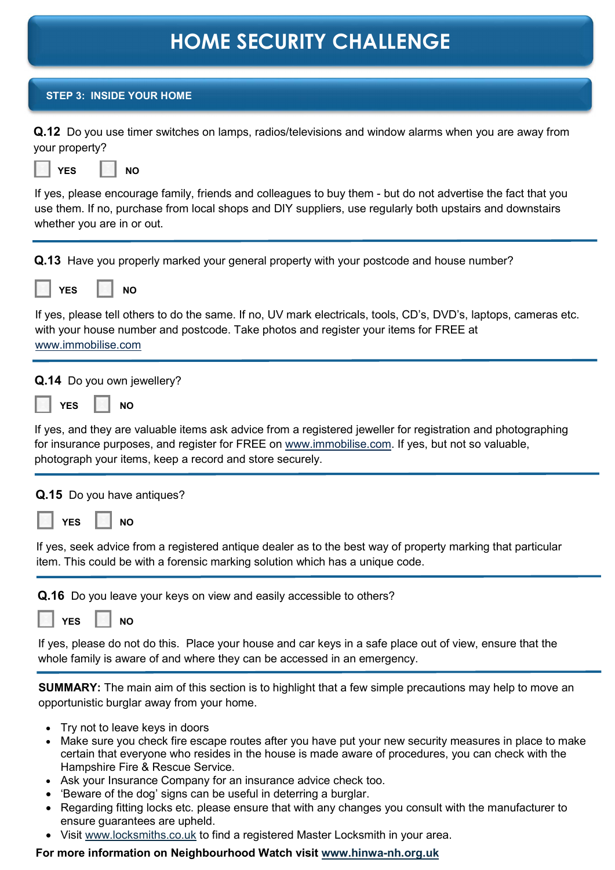| <b>STEP 3: INSIDE YOUR HOME</b>                                                                                                                                                                                                                                               |
|-------------------------------------------------------------------------------------------------------------------------------------------------------------------------------------------------------------------------------------------------------------------------------|
| <b>Q.12</b> Do you use timer switches on lamps, radios/televisions and window alarms when you are away from<br>your property?<br><b>YES</b><br><b>NO</b>                                                                                                                      |
|                                                                                                                                                                                                                                                                               |
| If yes, please encourage family, friends and colleagues to buy them - but do not advertise the fact that you<br>use them. If no, purchase from local shops and DIY suppliers, use regularly both upstairs and downstairs<br>whether you are in or out.                        |
| <b>Q.13</b> Have you properly marked your general property with your postcode and house number?                                                                                                                                                                               |
| <b>YES</b><br><b>NO</b>                                                                                                                                                                                                                                                       |
| If yes, please tell others to do the same. If no, UV mark electricals, tools, CD's, DVD's, laptops, cameras etc.<br>with your house number and postcode. Take photos and register your items for FREE at<br>www.immobilise.com                                                |
| Q.14 Do you own jewellery?                                                                                                                                                                                                                                                    |
| <b>YES</b><br><b>NO</b>                                                                                                                                                                                                                                                       |
| If yes, and they are valuable items ask advice from a registered jeweller for registration and photographing<br>for insurance purposes, and register for FREE on www.immobilise.com. If yes, but not so valuable,<br>photograph your items, keep a record and store securely. |
| <b>Q.15</b> Do you have antiques?                                                                                                                                                                                                                                             |
| <b>YES</b><br><b>NO</b>                                                                                                                                                                                                                                                       |
| If yes, seek advice from a registered antique dealer as to the best way of property marking that particular<br>item. This could be with a forensic marking solution which has a unique code.                                                                                  |
| Q.16 Do you leave your keys on view and easily accessible to others?                                                                                                                                                                                                          |
| <b>NO</b><br><b>YES</b>                                                                                                                                                                                                                                                       |
| If yes, please do not do this. Place your house and car keys in a safe place out of view, ensure that the<br>whole family is aware of and where they can be accessed in an emergency.                                                                                         |
| <b>SUMMARY:</b> The main aim of this section is to highlight that a few simple precautions may help to move an<br>opportunistic burglar away from your home.                                                                                                                  |
| Try not to leave keys in doors<br>$\bullet$                                                                                                                                                                                                                                   |

- Make sure you check fire escape routes after you have put your new security measures in place to make certain that everyone who resides in the house is made aware of procedures, you can check with the Hampshire Fire & Rescue Service.
- Ask your Insurance Company for an insurance advice check too.
- 'Beware of the dog' signs can be useful in deterring a burglar.
- Regarding fitting locks etc. please ensure that with any changes you consult with the manufacturer to ensure guarantees are upheld.
- Visit www.locksmiths.co.uk to find a registered Master Locksmith in your area.

### For more information on Neighbourhood Watch visit www.hinwa-nh.org.uk